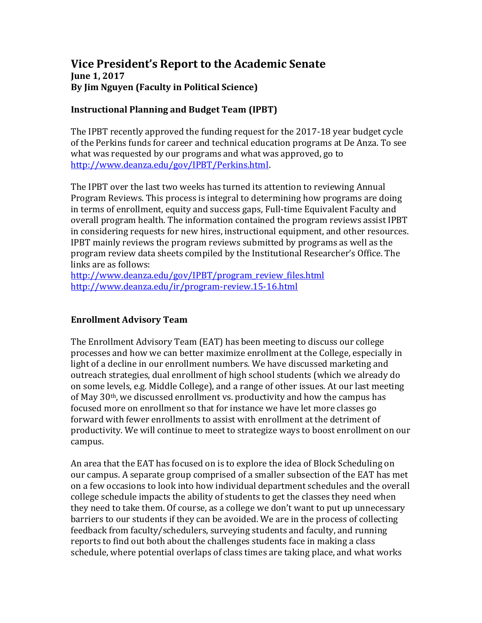## **Vice President's Report to the Academic Senate June 1, 2017 By Jim Nguyen (Faculty in Political Science)**

## **Instructional Planning and Budget Team (IPBT)**

The IPBT recently approved the funding request for the 2017-18 year budget cycle of the Perkins funds for career and technical education programs at De Anza. To see what was requested by our programs and what was approved, go to [http://www.deanza.edu/gov/IPBT/Perkins.html.](http://www.deanza.edu/gov/IPBT/Perkins.html)

The IPBT over the last two weeks has turned its attention to reviewing Annual Program Reviews. This process is integral to determining how programs are doing in terms of enrollment, equity and success gaps, Full-time Equivalent Faculty and overall program health. The information contained the program reviews assist IPBT in considering requests for new hires, instructional equipment, and other resources. IPBT mainly reviews the program reviews submitted by programs as well as the program review data sheets compiled by the Institutional Researcher's Office. The links are as follows:

[http://www.deanza.edu/gov/IPBT/program\\_review\\_files.html](http://www.deanza.edu/gov/IPBT/program_review_files.html) <http://www.deanza.edu/ir/program-review.15-16.html>

## **Enrollment Advisory Team**

The Enrollment Advisory Team (EAT) has been meeting to discuss our college processes and how we can better maximize enrollment at the College, especially in light of a decline in our enrollment numbers. We have discussed marketing and outreach strategies, dual enrollment of high school students (which we already do on some levels, e.g. Middle College), and a range of other issues. At our last meeting of May  $30<sup>th</sup>$ , we discussed enrollment vs. productivity and how the campus has focused more on enrollment so that for instance we have let more classes go forward with fewer enrollments to assist with enrollment at the detriment of productivity. We will continue to meet to strategize ways to boost enrollment on our campus.

An area that the EAT has focused on is to explore the idea of Block Scheduling on our campus. A separate group comprised of a smaller subsection of the EAT has met on a few occasions to look into how individual department schedules and the overall college schedule impacts the ability of students to get the classes they need when they need to take them. Of course, as a college we don't want to put up unnecessary barriers to our students if they can be avoided. We are in the process of collecting feedback from faculty/schedulers, surveying students and faculty, and running reports to find out both about the challenges students face in making a class schedule, where potential overlaps of class times are taking place, and what works